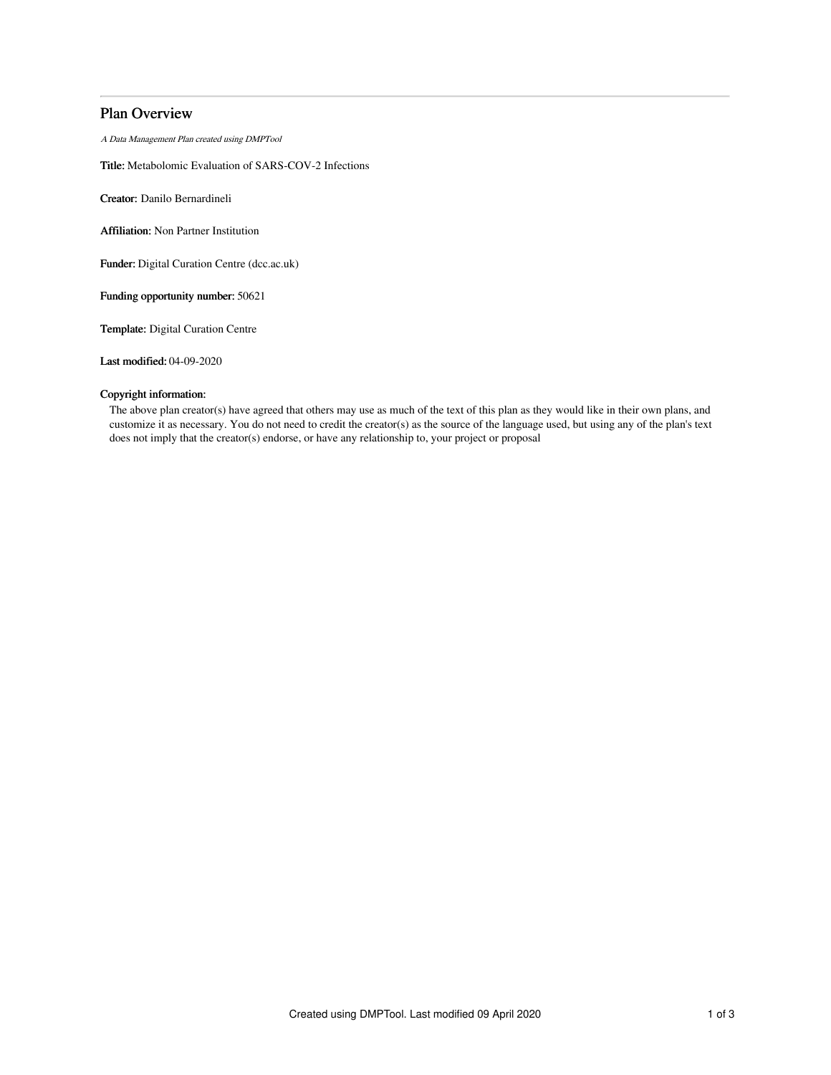# Plan Overview

A Data Management Plan created using DMPTool

Title: Metabolomic Evaluation of SARS-COV-2 Infections

Creator: Danilo Bernardineli

Affiliation: Non Partner Institution

Funder: Digital Curation Centre (dcc.ac.uk)

Funding opportunity number: 50621

Template: Digital Curation Centre

Last modified: 04-09-2020

# Copyright information:

The above plan creator(s) have agreed that others may use as much of the text of this plan as they would like in their own plans, and customize it as necessary. You do not need to credit the creator(s) as the source of the language used, but using any of the plan's text does not imply that the creator(s) endorse, or have any relationship to, your project or proposal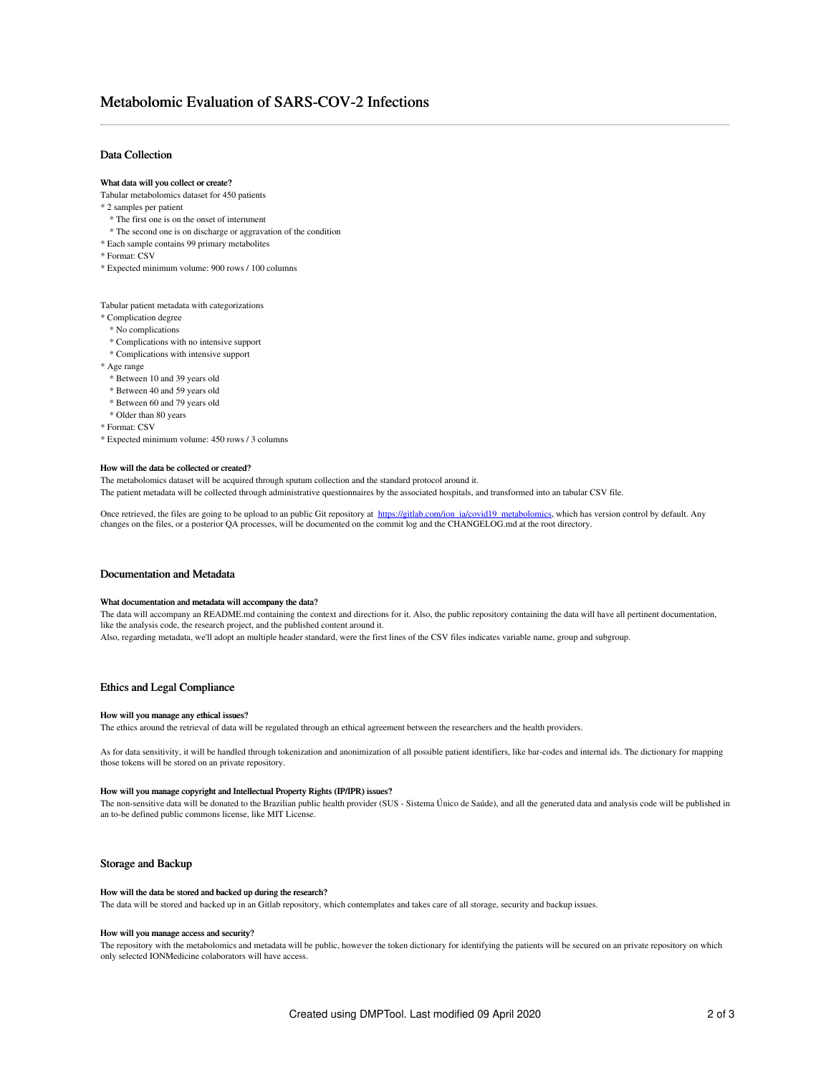# Data Collection

#### What data will you collect or create?

Tabular metabolomics dataset for 450 patients

- \* 2 samples per patient
- \* The first one is on the onset of internment
- \* The second one is on discharge or aggravation of the condition
- \* Each sample contains 99 primary metabolites
- \* Format: CSV
- \* Expected minimum volume: 900 rows / 100 columns

### Tabular patient metadata with categorizations

- \* Complication degree
- \* No complications
- \* Complications with no intensive support
- \* Complications with intensive support

\* Age range

- \* Between 10 and 39 years old
- \* Between 40 and 59 years old
- \* Between 60 and 79 years old
- \* Older than 80 years
- \* Format: CSV

\* Expected minimum volume: 450 rows / 3 columns

#### How will the data be collected or created?

The metabolomics dataset will be acquired through sputum collection and the standard protocol around it.

The patient metadata will be collected through administrative questionnaires by the associated hospitals, and transformed into an tabular CSV file.

Once retrieved, the files are going to be upload to an public Git repository at <u>[https://gitlab.com/ion\\_ia/covid19\\_metabolomics](https://gitlab.com/ion_ia/covid19_metabolomics)</u>, which has version control by default. Any<br>changes on the files, or a posterior QA processes,

# Documentation and Metadata

# What documentation and metadata will accompany the data?

The data will accompany an README.md containing the context and directions for it. Also, the public repository containing the data will have all pertinent documentation, like the analysis code, the research project, and the published content around it.

Also, regarding metadata, we'll adopt an multiple header standard, were the first lines of the CSV files indicates variable name, group and subgroup.

# Ethics and Legal Compliance

#### How will you manage any ethical issues?

The ethics around the retrieval of data will be regulated through an ethical agreement between the researchers and the health providers.

As for data sensitivity, it will be handled through tokenization and anonimization of all possible patient identifiers, like bar-codes and internal ids. The dictionary for mapping those tokens will be stored on an private repository.

# How will you manage copyright and Intellectual Property Rights (IP/IPR) issues?

The non-sensitive data will be donated to the Brazilian public health provider (SUS - Sistema Único de Saúde), and all the generated data and analysis code will be published in an to-be defined public commons license, like MIT License.

#### Storage and Backup

#### How will the data be stored and backed up during the research?

The data will be stored and backed up in an Gitlab repository, which contemplates and takes care of all storage, security and backup issues.

#### How will you manage access and security?

The repository with the metabolomics and metadata will be public, however the token dictionary for identifying the patients will be secured on an private repository on which only selected IONMedicine colaborators will have access.